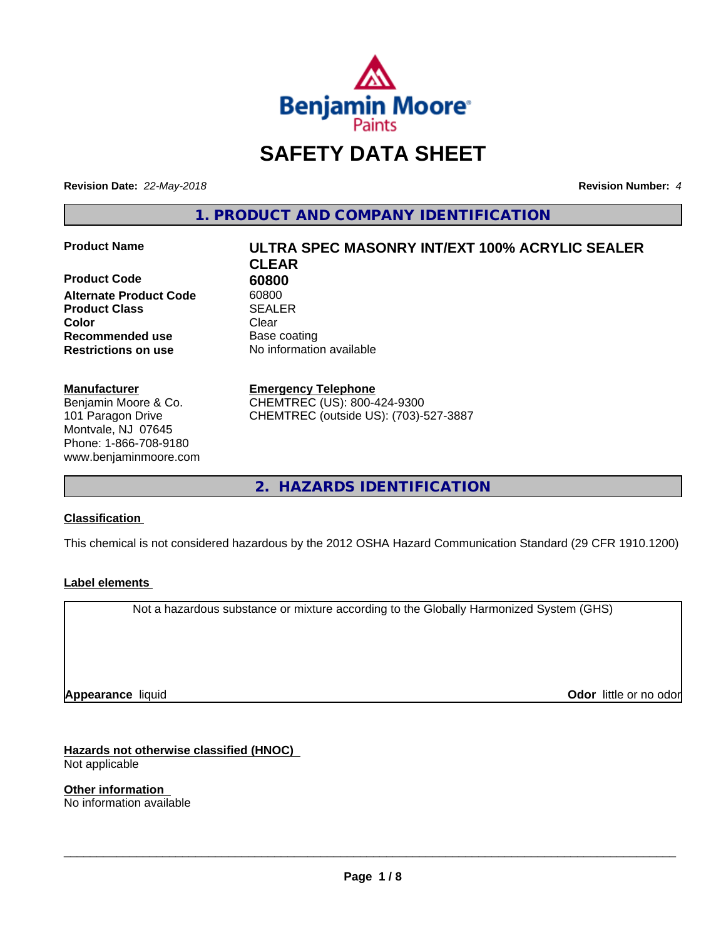

## **SAFETY DATA SHEET**

**Revision Date:** *22-May-2018* **Revision Number:** *4*

**1. PRODUCT AND COMPANY IDENTIFICATION**

**Product Code 60800**<br> **Alternate Product Code** 60800 **Alternate Product Code Product Class SEALER Color** Clear Clear **Recommended use** Base coating **Restrictions on use** No information available

#### **Manufacturer**

Benjamin Moore & Co. 101 Paragon Drive Montvale, NJ 07645 Phone: 1-866-708-9180 www.benjaminmoore.com

# **Product Name ULTRA SPEC MASONRY INT/EXT 100% ACRYLIC SEALER CLEAR**

**Emergency Telephone**

CHEMTREC (US): 800-424-9300 CHEMTREC (outside US): (703)-527-3887

**2. HAZARDS IDENTIFICATION**

#### **Classification**

This chemical is not considered hazardous by the 2012 OSHA Hazard Communication Standard (29 CFR 1910.1200)

#### **Label elements**

Not a hazardous substance or mixture according to the Globally Harmonized System (GHS)

**Appearance** liquid

**Odor** little or no odor

**Hazards not otherwise classified (HNOC)** Not applicable

**Other information** No information available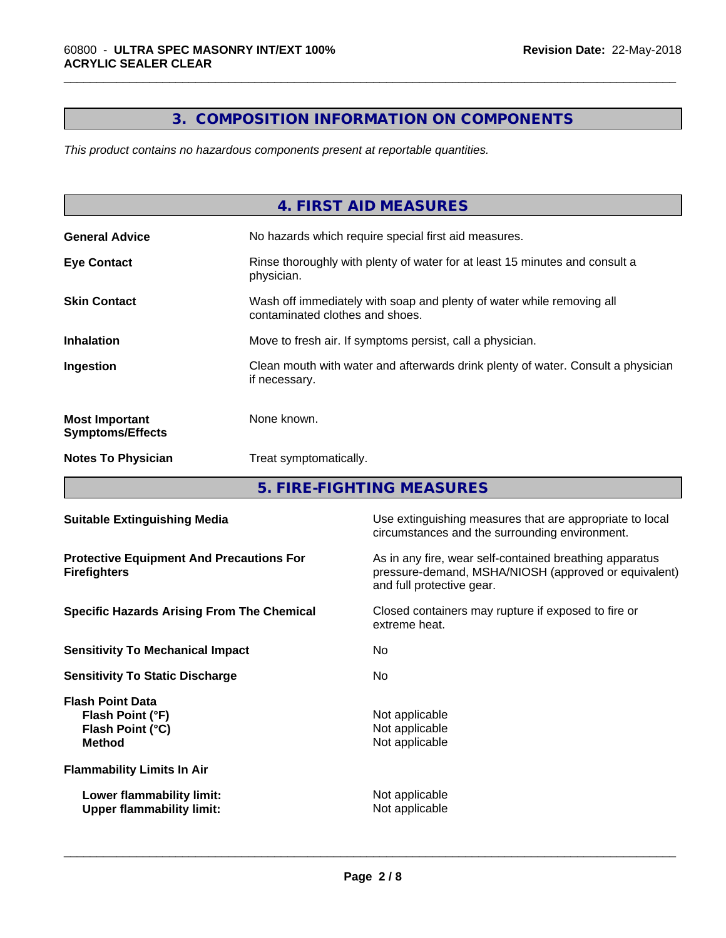### **3. COMPOSITION INFORMATION ON COMPONENTS**

\_\_\_\_\_\_\_\_\_\_\_\_\_\_\_\_\_\_\_\_\_\_\_\_\_\_\_\_\_\_\_\_\_\_\_\_\_\_\_\_\_\_\_\_\_\_\_\_\_\_\_\_\_\_\_\_\_\_\_\_\_\_\_\_\_\_\_\_\_\_\_\_\_\_\_\_\_\_\_\_\_\_\_\_\_\_\_\_\_\_\_\_\_

*This product contains no hazardous components present at reportable quantities.*

|                                                  | 4. FIRST AID MEASURES                                                                                    |
|--------------------------------------------------|----------------------------------------------------------------------------------------------------------|
| <b>General Advice</b>                            | No hazards which require special first aid measures.                                                     |
| <b>Eye Contact</b>                               | Rinse thoroughly with plenty of water for at least 15 minutes and consult a<br>physician.                |
| <b>Skin Contact</b>                              | Wash off immediately with soap and plenty of water while removing all<br>contaminated clothes and shoes. |
| <b>Inhalation</b>                                | Move to fresh air. If symptoms persist, call a physician.                                                |
| Ingestion                                        | Clean mouth with water and afterwards drink plenty of water. Consult a physician<br>if necessary.        |
| <b>Most Important</b><br><b>Symptoms/Effects</b> | None known.                                                                                              |
| <b>Notes To Physician</b>                        | Treat symptomatically.                                                                                   |
|                                                  |                                                                                                          |

**5. FIRE-FIGHTING MEASURES**

| <b>Suitable Extinguishing Media</b>                                              | Use extinguishing measures that are appropriate to local<br>circumstances and the surrounding environment.                                   |
|----------------------------------------------------------------------------------|----------------------------------------------------------------------------------------------------------------------------------------------|
| <b>Protective Equipment And Precautions For</b><br><b>Firefighters</b>           | As in any fire, wear self-contained breathing apparatus<br>pressure-demand, MSHA/NIOSH (approved or equivalent)<br>and full protective gear. |
| <b>Specific Hazards Arising From The Chemical</b>                                | Closed containers may rupture if exposed to fire or<br>extreme heat.                                                                         |
| <b>Sensitivity To Mechanical Impact</b>                                          | No.                                                                                                                                          |
| <b>Sensitivity To Static Discharge</b>                                           | No.                                                                                                                                          |
| <b>Flash Point Data</b><br>Flash Point (°F)<br>Flash Point (°C)<br><b>Method</b> | Not applicable<br>Not applicable<br>Not applicable                                                                                           |
| <b>Flammability Limits In Air</b>                                                |                                                                                                                                              |
| Lower flammability limit:<br><b>Upper flammability limit:</b>                    | Not applicable<br>Not applicable                                                                                                             |
|                                                                                  |                                                                                                                                              |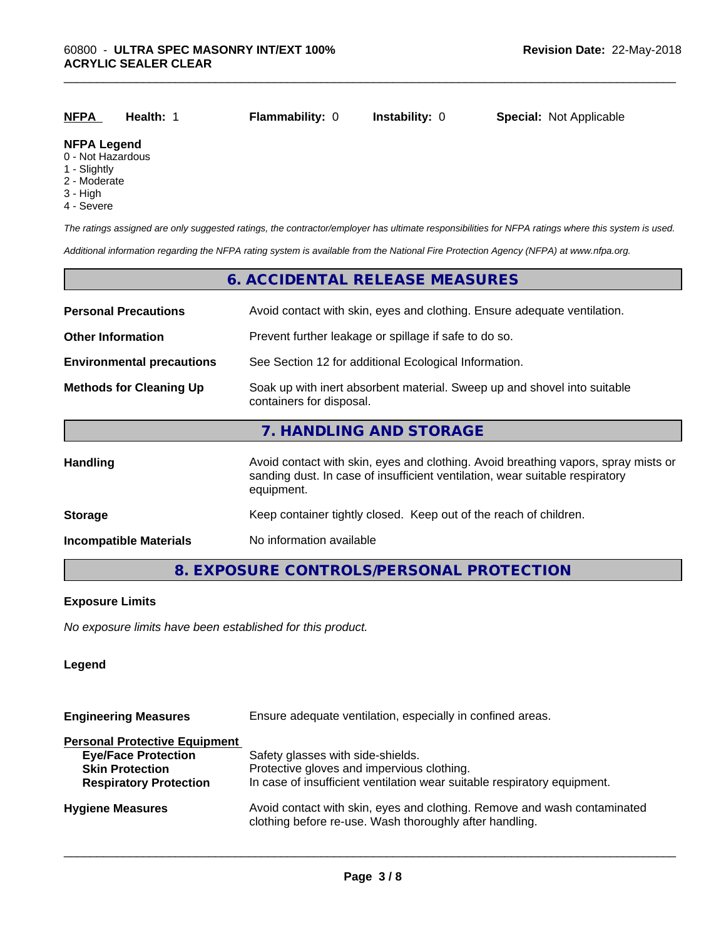| <b>NFPA</b>        | Health: | <b>Flammability: 0</b> | <b>Instability:</b> 0 | <b>Special: Not Applicable</b> |
|--------------------|---------|------------------------|-----------------------|--------------------------------|
| <b>NFPA Legend</b> |         |                        |                       |                                |

\_\_\_\_\_\_\_\_\_\_\_\_\_\_\_\_\_\_\_\_\_\_\_\_\_\_\_\_\_\_\_\_\_\_\_\_\_\_\_\_\_\_\_\_\_\_\_\_\_\_\_\_\_\_\_\_\_\_\_\_\_\_\_\_\_\_\_\_\_\_\_\_\_\_\_\_\_\_\_\_\_\_\_\_\_\_\_\_\_\_\_\_\_

#### 0 - Not Hazardous

- 1 Slightly
- 2 Moderate
- 3 High
- 4 Severe

*The ratings assigned are only suggested ratings, the contractor/employer has ultimate responsibilities for NFPA ratings where this system is used.*

*Additional information regarding the NFPA rating system is available from the National Fire Protection Agency (NFPA) at www.nfpa.org.*

#### **6. ACCIDENTAL RELEASE MEASURES**

| <b>Personal Precautions</b>      | Avoid contact with skin, eyes and clothing. Ensure adequate ventilation.                                                                                                         |
|----------------------------------|----------------------------------------------------------------------------------------------------------------------------------------------------------------------------------|
| <b>Other Information</b>         | Prevent further leakage or spillage if safe to do so.                                                                                                                            |
| <b>Environmental precautions</b> | See Section 12 for additional Ecological Information.                                                                                                                            |
| <b>Methods for Cleaning Up</b>   | Soak up with inert absorbent material. Sweep up and shovel into suitable<br>containers for disposal.                                                                             |
|                                  | 7. HANDLING AND STORAGE                                                                                                                                                          |
| Handling                         | Avoid contact with skin, eyes and clothing. Avoid breathing vapors, spray mists or<br>sanding dust. In case of insufficient ventilation, wear suitable respiratory<br>equipment. |
| <b>Storage</b>                   | Keep container tightly closed. Keep out of the reach of children.                                                                                                                |
| <b>Incompatible Materials</b>    | No information available                                                                                                                                                         |

#### **8. EXPOSURE CONTROLS/PERSONAL PROTECTION**

#### **Exposure Limits**

*No exposure limits have been established for this product.*

#### **Legend**

| Ensure adequate ventilation, especially in confined areas.                                                                          |  |  |
|-------------------------------------------------------------------------------------------------------------------------------------|--|--|
|                                                                                                                                     |  |  |
| Safety glasses with side-shields.                                                                                                   |  |  |
| Protective gloves and impervious clothing.                                                                                          |  |  |
| In case of insufficient ventilation wear suitable respiratory equipment.                                                            |  |  |
| Avoid contact with skin, eyes and clothing. Remove and wash contaminated<br>clothing before re-use. Wash thoroughly after handling. |  |  |
|                                                                                                                                     |  |  |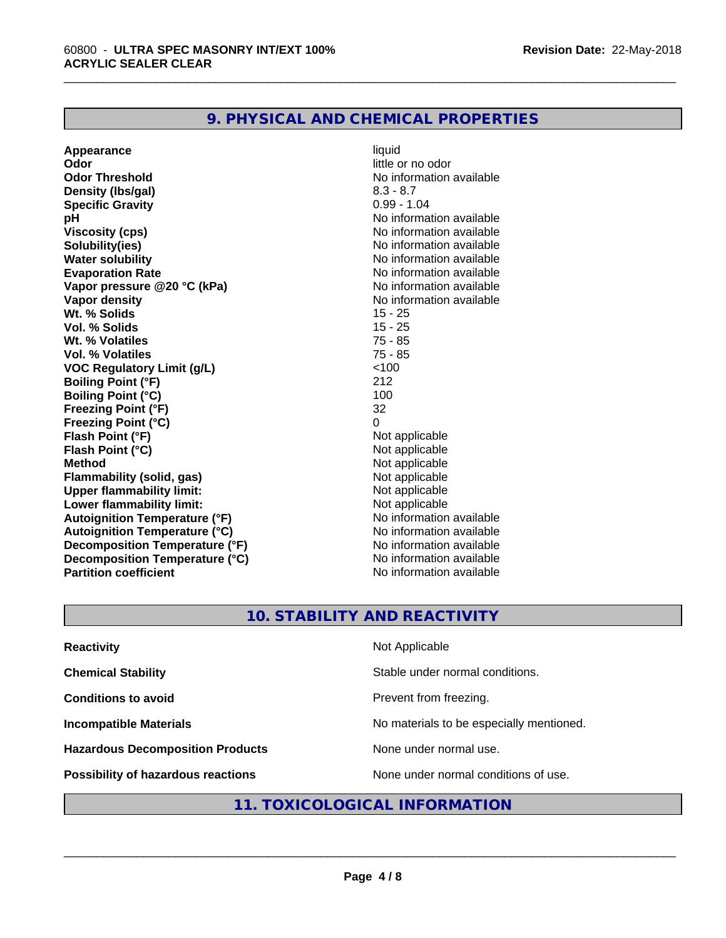#### **9. PHYSICAL AND CHEMICAL PROPERTIES**

**Appearance** liquid<br> **Appearance** liquid<br> **Odor** little c **Odor Threshold No information available No information available Density (lbs/gal)** 8.3 - 8.7 **Specific Gravity** 0.99 - 1.04 **pH** No information available **Viscosity (cps)** No information available **Solubility(ies)** No information available **Water solubility**<br> **Evaporation Rate**<br> **Evaporation Rate**<br> **Evaporation Rate Vapor** pressure @20 °C (kPa) **Vapor density**<br> **We Solids**<br>
We Solids
25 - 25 **Wt. % Solids** 15 - 25<br> **Vol. % Solids** 15 - 25 **Vol. % Solids Wt. % Volatiles** 75 - 85 **Vol. % Volatiles VOC Regulatory Limit (g/L)** <100 **Boiling Point (°F)** 212 **Boiling Point (°C) Freezing Point (°F)** 32 **Freezing Point (°C)**<br> **Flash Point (°F)**<br> **Flash Point (°F)**<br> **Point (°F)**<br> **Point (°F)**<br> **Point (°F)**<br> **Point (°F) Flash Point (°F)**<br> **Flash Point (°C)**<br> **Flash Point (°C)**<br> **C Flash Point (°C) Method**<br> **Flammability (solid. gas)**<br> **Commability (solid. gas)**<br> **Not** applicable **Flammability** (solid, gas) **Upper flammability limit:** Not applicable **Lower flammability limit:**<br> **Autoignition Temperature (°F)** Not applicable havailable **Autoignition Temperature (°F) Autoignition Temperature (°C)** No information available **Decomposition Temperature (°F)** No information available<br> **Decomposition Temperature (°C)** No information available **Decomposition Temperature (°C) Partition coefficient** No information available

**Odor** little or no odor No information available<br>No information available

\_\_\_\_\_\_\_\_\_\_\_\_\_\_\_\_\_\_\_\_\_\_\_\_\_\_\_\_\_\_\_\_\_\_\_\_\_\_\_\_\_\_\_\_\_\_\_\_\_\_\_\_\_\_\_\_\_\_\_\_\_\_\_\_\_\_\_\_\_\_\_\_\_\_\_\_\_\_\_\_\_\_\_\_\_\_\_\_\_\_\_\_\_

#### **10. STABILITY AND REACTIVITY**

| <b>Reactivity</b>                       | Not Applicable                           |
|-----------------------------------------|------------------------------------------|
| <b>Chemical Stability</b>               | Stable under normal conditions.          |
| <b>Conditions to avoid</b>              | Prevent from freezing.                   |
| <b>Incompatible Materials</b>           | No materials to be especially mentioned. |
| <b>Hazardous Decomposition Products</b> | None under normal use.                   |
| Possibility of hazardous reactions      | None under normal conditions of use.     |

#### **11. TOXICOLOGICAL INFORMATION**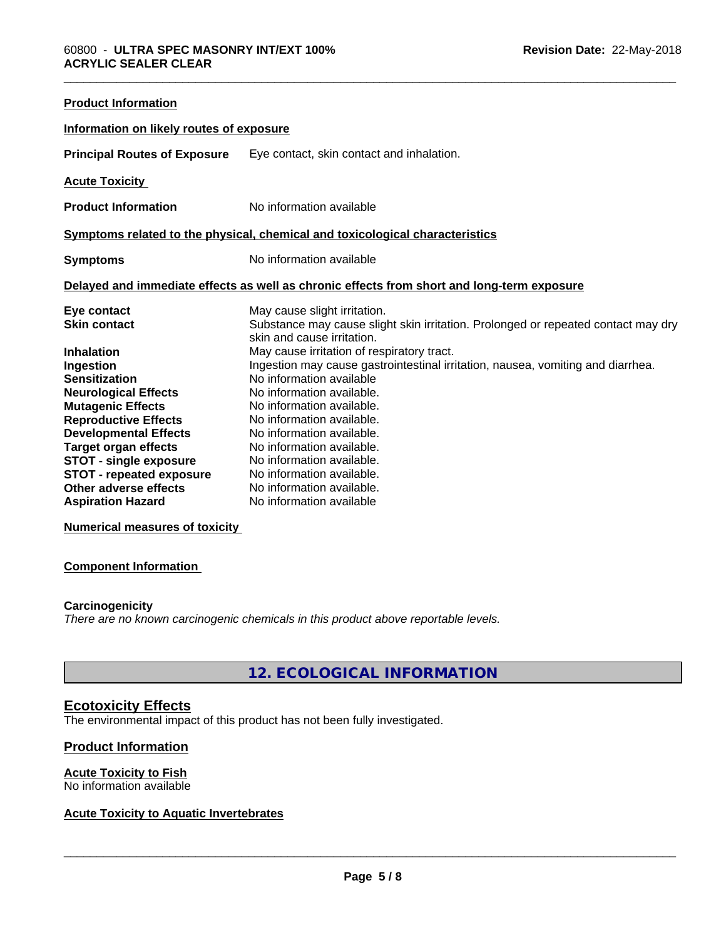| <b>Product Information</b>               |                                                                                                                 |
|------------------------------------------|-----------------------------------------------------------------------------------------------------------------|
| Information on likely routes of exposure |                                                                                                                 |
| <b>Principal Routes of Exposure</b>      | Eye contact, skin contact and inhalation.                                                                       |
| <b>Acute Toxicity</b>                    |                                                                                                                 |
| <b>Product Information</b>               | No information available                                                                                        |
|                                          | Symptoms related to the physical, chemical and toxicological characteristics                                    |
| <b>Symptoms</b>                          | No information available                                                                                        |
|                                          | Delayed and immediate effects as well as chronic effects from short and long-term exposure                      |
| Eye contact                              | May cause slight irritation.                                                                                    |
| <b>Skin contact</b>                      | Substance may cause slight skin irritation. Prolonged or repeated contact may dry<br>skin and cause irritation. |
| <b>Inhalation</b>                        | May cause irritation of respiratory tract.                                                                      |
| Ingestion                                | Ingestion may cause gastrointestinal irritation, nausea, vomiting and diarrhea.                                 |
| <b>Sensitization</b>                     | No information available                                                                                        |
| <b>Neurological Effects</b>              | No information available.                                                                                       |
| <b>Mutagenic Effects</b>                 | No information available.                                                                                       |
| <b>Reproductive Effects</b>              | No information available.                                                                                       |
| <b>Developmental Effects</b>             | No information available.                                                                                       |
| <b>Target organ effects</b>              | No information available.                                                                                       |
| <b>STOT - single exposure</b>            | No information available.                                                                                       |
| <b>STOT - repeated exposure</b>          | No information available.                                                                                       |
| Other adverse effects                    | No information available.                                                                                       |
| <b>Aspiration Hazard</b>                 | No information available                                                                                        |

**Numerical measures of toxicity**

#### **Component Information**

#### **Carcinogenicity**

*There are no known carcinogenic chemicals in this product above reportable levels.*

#### **12. ECOLOGICAL INFORMATION**

### **Ecotoxicity Effects**

The environmental impact of this product has not been fully investigated.

#### **Product Information**

#### **Acute Toxicity to Fish**

No information available

#### **Acute Toxicity to Aquatic Invertebrates**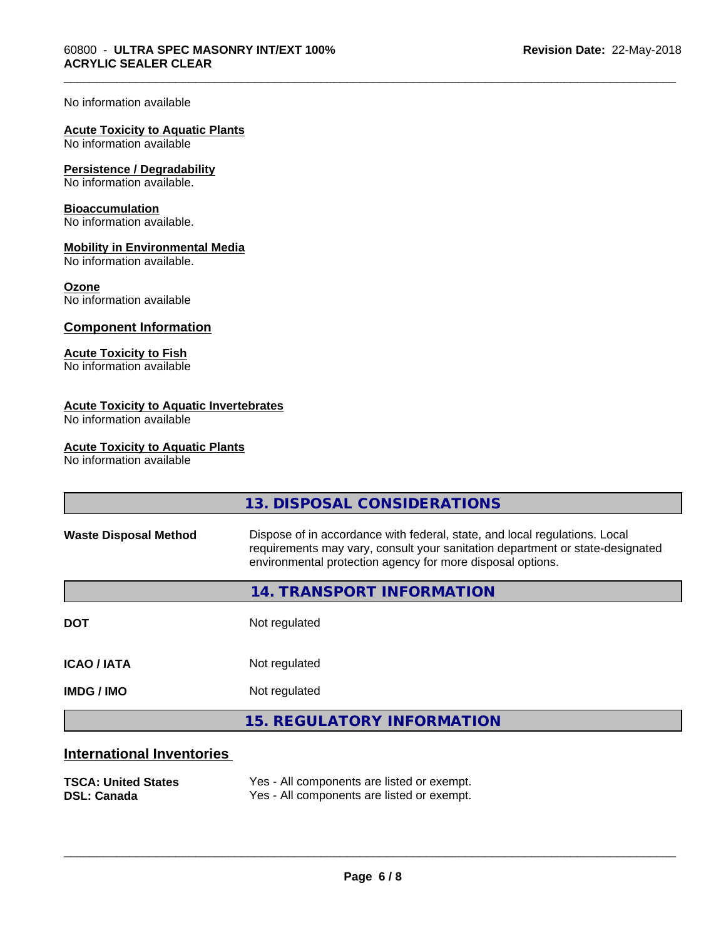#### No information available

#### **Acute Toxicity to Aquatic Plants**

No information available

#### **Persistence / Degradability**

No information available.

#### **Bioaccumulation**

No information available.

#### **Mobility in Environmental Media**

No information available.

#### **Ozone**

No information available

#### **Component Information**

#### **Acute Toxicity to Fish**

No information available

#### **Acute Toxicity to Aquatic Invertebrates**

No information available

#### **Acute Toxicity to Aquatic Plants**

No information available

|                                  | 13. DISPOSAL CONSIDERATIONS                                                                                                                                                                                               |
|----------------------------------|---------------------------------------------------------------------------------------------------------------------------------------------------------------------------------------------------------------------------|
| <b>Waste Disposal Method</b>     | Dispose of in accordance with federal, state, and local regulations. Local<br>requirements may vary, consult your sanitation department or state-designated<br>environmental protection agency for more disposal options. |
|                                  | 14. TRANSPORT INFORMATION                                                                                                                                                                                                 |
| <b>DOT</b>                       | Not regulated                                                                                                                                                                                                             |
| <b>ICAO/IATA</b>                 | Not regulated                                                                                                                                                                                                             |
| <b>IMDG / IMO</b>                | Not regulated                                                                                                                                                                                                             |
|                                  | <b>15. REGULATORY INFORMATION</b>                                                                                                                                                                                         |
| <b>International Inventories</b> |                                                                                                                                                                                                                           |

\_\_\_\_\_\_\_\_\_\_\_\_\_\_\_\_\_\_\_\_\_\_\_\_\_\_\_\_\_\_\_\_\_\_\_\_\_\_\_\_\_\_\_\_\_\_\_\_\_\_\_\_\_\_\_\_\_\_\_\_\_\_\_\_\_\_\_\_\_\_\_\_\_\_\_\_\_\_\_\_\_\_\_\_\_\_\_\_\_\_\_\_\_

#### **TSCA: United States** Yes - All components are listed or exempt.<br> **DSL: Canada** Yes - All components are listed or exempt. Yes - All components are listed or exempt.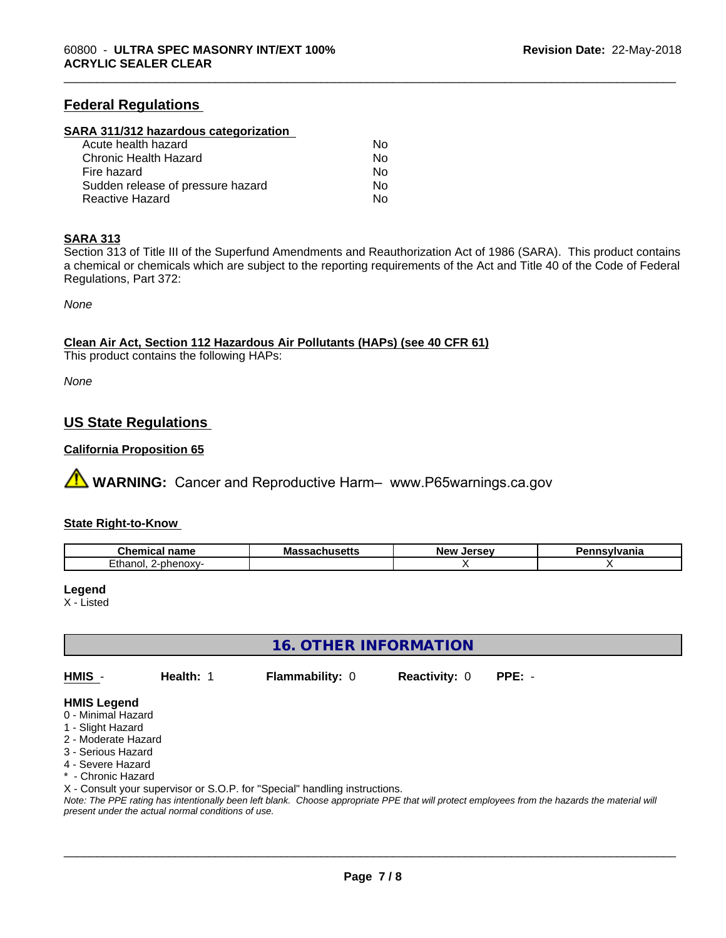#### **Federal Regulations**

#### **SARA 311/312 hazardous categorization**

| Acute health hazard               | Nο |  |
|-----------------------------------|----|--|
| Chronic Health Hazard             | Nο |  |
| Fire hazard                       | N٥ |  |
| Sudden release of pressure hazard | Nο |  |
| Reactive Hazard                   | Nο |  |

#### **SARA 313**

Section 313 of Title III of the Superfund Amendments and Reauthorization Act of 1986 (SARA). This product contains a chemical or chemicals which are subject to the reporting requirements of the Act and Title 40 of the Code of Federal Regulations, Part 372:

\_\_\_\_\_\_\_\_\_\_\_\_\_\_\_\_\_\_\_\_\_\_\_\_\_\_\_\_\_\_\_\_\_\_\_\_\_\_\_\_\_\_\_\_\_\_\_\_\_\_\_\_\_\_\_\_\_\_\_\_\_\_\_\_\_\_\_\_\_\_\_\_\_\_\_\_\_\_\_\_\_\_\_\_\_\_\_\_\_\_\_\_\_

*None*

**Clean Air Act,Section 112 Hazardous Air Pollutants (HAPs) (see 40 CFR 61)**

This product contains the following HAPs:

*None*

#### **US State Regulations**

#### **California Proposition 65**

**AVIMARNING:** Cancer and Reproductive Harm– www.P65warnings.ca.gov

#### **State Right-to-Know**

| $\sim$                                      | $\cdots$      | ∴Jerse ∪ | :vivania |
|---------------------------------------------|---------------|----------|----------|
| <b>Chemical name</b>                        | Massachusetts | Ne۱      |          |
| 그녀는 는 눈 눈<br>phenoxy-<br>こいに<br>.<br>1 IUI. |               |          |          |

#### **Legend**

X - Listed

**16. OTHER INFORMATION**

**HMIS** - **Health:** 1 **Flammability:** 0 **Reactivity:** 0 **PPE:** -

#### **HMIS Legend**

- 0 Minimal Hazard
- 1 Slight Hazard
- 2 Moderate Hazard
- 3 Serious Hazard
- 4 Severe Hazard
- Chronic Hazard
- X Consult your supervisor or S.O.P. for "Special" handling instructions.

*Note: The PPE rating has intentionally been left blank. Choose appropriate PPE that will protect employees from the hazards the material will present under the actual normal conditions of use.*